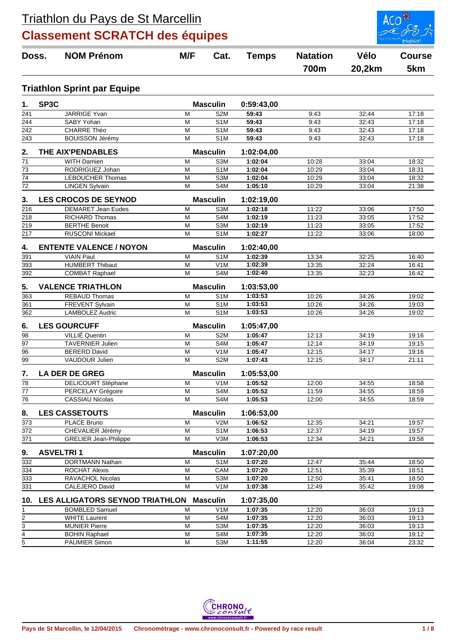

| Doss.                   |                  | <b>NOM Prénom</b>                               | M/F<br>Cat.    |                                      | <b>Temps</b>          | <b>Natation</b> | Vélo           | <b>Course</b>  |
|-------------------------|------------------|-------------------------------------------------|----------------|--------------------------------------|-----------------------|-----------------|----------------|----------------|
|                         |                  |                                                 |                |                                      |                       | <b>700m</b>     | 20,2km         | 5km            |
|                         |                  | <b>Triathlon Sprint par Equipe</b>              |                |                                      |                       |                 |                |                |
| 1.                      | SP3C             |                                                 |                | <b>Masculin</b>                      | 0:59:43,00            |                 |                |                |
| 241                     |                  | <b>JARRIGE Yvan</b>                             | M              | S <sub>2</sub> M                     | 59:43                 | 9:43            | 32:44          | 17:18          |
| $\overline{244}$        |                  | SABY Yohan                                      | M              | S <sub>1</sub> M                     | 59:43                 | 9:43            | 32:43          | 17:18          |
| 242                     |                  | CHARRE Théo                                     | M              | S1M                                  | 59:43                 | 9:43            | 32:43          | 17:18          |
| $\frac{243}{ }$         |                  | <b>BOUISSON Jérémy</b>                          | M              | S <sub>1</sub> M                     | 59:43                 | 9:43            | 32:43          | 17:18          |
| 2.                      |                  | THE AIX'PENDABLES                               |                | <b>Masculin</b>                      | 1:02:04,00            |                 |                |                |
| 71                      |                  | <b>WITH Damien</b>                              | M              | S3M                                  | 1:02:04               | 10:28           | 33:04          | 18:32          |
| $\overline{73}$         |                  | RODRIGUEZ Johan                                 | M              | S <sub>1</sub> M                     | 1:02:04               | 10:29           | 33:04          | 18:31          |
| $\overline{74}$         |                  | <b>LEBOUCHER Thomas</b>                         | M              | S <sub>3</sub> M                     | 1:02:04               | 10:29           | 33:04          | 18:32          |
| $\overline{72}$         |                  | <b>LINGEN Sylvain</b>                           | M              | S4M                                  | 1:05:10               | 10:29           | 33:04          | 21:38          |
| 3.                      |                  | <b>LES CROCOS DE SEYNOD</b>                     |                | <b>Masculin</b>                      | 1:02:19,00            |                 |                |                |
| $\frac{1}{216}$         |                  | <b>DEMARET Jean Eudes</b>                       | M              | S3M                                  | 1:02:18               | 11:22           | 33:06          | 17:50          |
| 218                     |                  | <b>RICHARD Thomas</b>                           | M              | S4M                                  | 1:02:19               | 11:23           | 33:05          | 17:52          |
| 219                     |                  | <b>BERTHE Benoit</b>                            | M              | S3M                                  | 1:02:19               | 11:23           | 33:05          | 17:52          |
| 217                     |                  | <b>RUSCONI Mickael</b>                          | M              | S <sub>1</sub> M                     | 1:02:27               | 11:22           | 33:06          | 18:00          |
| 4.                      |                  | <b>ENTENTE VALENCE / NOYON</b>                  |                | <b>Masculin</b>                      | 1:02:40,00            |                 |                |                |
| 391                     |                  | <b>VIAIN Paul</b>                               | M              | S <sub>1</sub> M                     | 1:02:39<br>1:02:39    | 13:34           | 32:25          | 16:40          |
| 393<br>392              |                  | <b>HUMBERT Thibaut</b><br><b>COMBAT Raphael</b> | M<br>м         | V1M<br>S4M                           | 1:02:40               | 13:35<br>13:35  | 32:24<br>32:23 | 16:41<br>16:42 |
|                         |                  |                                                 |                |                                      |                       |                 |                |                |
| 5.                      |                  | <b>VALENCE TRIATHLON</b>                        |                | <b>Masculin</b>                      | 1:03:53,00            |                 |                |                |
| 363<br>$\overline{361}$ |                  | <b>REBAUD Thomas</b><br>FREVENT Sylvain         | M<br>M         | S <sub>1</sub> M<br>S <sub>1</sub> M | 1:03:53<br>1:03:53    | 10:26<br>10:26  | 34:26<br>34:26 | 19:02<br>19:03 |
| $\overline{362}$        |                  | <b>LAMBOLEZ Audric</b>                          | M              | S <sub>1</sub> M                     | 1:03:53               | 10:26           | 34:26          | 19:02          |
|                         |                  |                                                 |                |                                      |                       |                 |                |                |
| 6.<br>$\overline{98}$   |                  | <b>LES GOURCUFF</b><br><b>VILLIÉ</b> Quentin    | M              | <b>Masculin</b><br>S <sub>2</sub> M  | 1:05:47,00<br>1:05:47 | 12:13           | 34:19          | 19:16          |
| $\overline{97}$         |                  | <b>TAVERNIER Julien</b>                         | M              | S4M                                  | 1:05:47               | 12:14           | 34:19          | 19:15          |
| 96                      |                  | <b>BERERD David</b>                             | M              | V <sub>1</sub> M                     | 1:05:47               | 12:15           | 34:17          | 19:16          |
| 99                      |                  | <b>VAUDOUR Julien</b>                           | M              | S <sub>2</sub> M                     | 1:07:43               | 12:15           | 34:17          | 21:11          |
| 7.                      |                  | <b>LA DER DE GREG</b>                           |                | <b>Masculin</b>                      | 1:05:53,00            |                 |                |                |
| 78                      |                  | <b>DELICOURT Stéphane</b>                       | M              | V <sub>1</sub> M                     | 1:05:52               | 12:00           | 34:55          | 18:58          |
| 77                      |                  | PERCELAY Grégoire                               | M              | S4M                                  | 1:05:52               | 11:59           | 34:55          | 18.59          |
| $\overline{76}$         |                  | <b>CASSIAU Nicolas</b>                          | M              | S4M                                  | 1:05:53               | 12:00           | 34:55          | 18:59          |
| 8.                      |                  | <b>LES CASSETOUTS</b>                           |                | <b>Masculin</b>                      | 1:06:53,00            |                 |                |                |
| 373                     |                  | PLACE Bruno                                     | M              | V2M                                  | 1:06:52               | 12:35           | 34:21          | 19:57          |
| 372                     |                  | CHEVALIER Jérémy                                | M              | S1M                                  | 1:06:53               | 12:37           | 34:19          | 19:57          |
| 371                     |                  | <b>GRELIER Jean-Philippe</b>                    | M              | V3M                                  | 1:06:53               | 12:34           | 34:21          | 19:58          |
| 9.                      | <b>ASVELTRI1</b> |                                                 |                | <b>Masculin</b>                      | 1:07:20,00            |                 |                |                |
| 332                     |                  | <b>DORTMANN Nathan</b>                          | M              | S <sub>1</sub> M                     | 1:07:20               | 12:47           | 35:44          | 18:50          |
| 334                     |                  | ROCHAT Alexis                                   | M              | CAM                                  | 1:07:20               | 12:51           | 35:39          | 18:51          |
| 333                     |                  | RAVACHOL Nicolas                                | $\overline{M}$ | S3M                                  | 1:07:20               | 12:50           | 35:41          | 18:50          |
| 331                     |                  | CALEJERO David                                  | M              | V <sub>1</sub> M                     | 1:07:38               | 12:49           | 35:42          | 19:08          |
| 10.                     |                  | LES ALLIGATORS SEYNOD TRIATHLON Masculin        |                |                                      | 1:07:35,00            |                 |                |                |
| 1                       |                  | <b>BOMBLED Samuel</b>                           | M              | V <sub>1</sub> M                     | 1:07:35               | 12:20           | 36:03          | 19:13          |
|                         |                  | <b>WHITE Laurent</b>                            | M              | S4M                                  | 1:07:35               | 12:20           | 36:03          | 19:13          |
| $\frac{2}{3}$           |                  | <b>MUNIER Pierre</b>                            | M              | S3M                                  | 1:07:35               | 12:20           | 36:03          | 19:13          |
| $\frac{4}{5}$           |                  | <b>BOHIN Raphael</b>                            | M              | S4M                                  | 1:07:35               | 12:20           | 36:03          | 19:12          |
|                         |                  | PAUMIER Simon                                   | M              | S3M                                  | 1:11:55               | 12:20           | 36:04          | 23:32          |

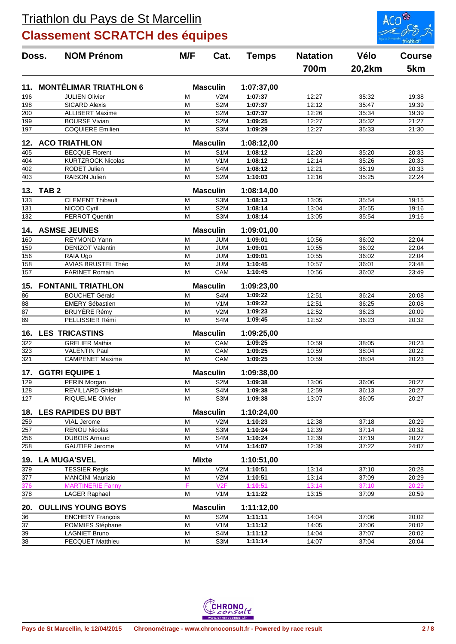

| Doss.            | <b>NOM Prénom</b>             | M/F          | Cat.             | <b>Temps</b> | <b>Natation</b> | Vélo   | <b>Course</b> |
|------------------|-------------------------------|--------------|------------------|--------------|-----------------|--------|---------------|
|                  |                               |              |                  |              | 700m            | 20,2km | 5km           |
| 11.              | <b>MONTÉLIMAR TRIATHLON 6</b> |              | <b>Masculin</b>  | 1:07:37,00   |                 |        |               |
| 196              | <b>JULIEN Olivier</b>         | м            | V2M              | 1:07:37      | 12:27           | 35:32  | 19:38         |
| 198              | <b>SICARD Alexis</b>          | М            | S <sub>2</sub> M | 1:07:37      | 12:12           | 35:47  | 19:39         |
| 200              | <b>ALLIBERT Maxime</b>        | M            | S <sub>2</sub> M | 1:07:37      | 12:26           | 35:34  | 19:39         |
| 199              | <b>BOURSE Vivian</b>          | M            | S <sub>2</sub> M | 1:09:25      | 12:27           | 35:32  | 21:27         |
| 197              | <b>COQUIERE Emilien</b>       | M            | S <sub>3</sub> M | 1:09:29      | 12:27           | 35:33  | 21:30         |
| 12.              | <b>ACO TRIATHLON</b>          |              | <b>Masculin</b>  | 1:08:12,00   |                 |        |               |
| 405              | <b>BECQUE Florent</b>         | M            | S <sub>1</sub> M | 1:08:12      | 12:20           | 35:20  | 20:33         |
| 404              | <b>KURTZROCK Nicolas</b>      | М            | V <sub>1</sub> M | 1:08:12      | 12:14           | 35:26  | 20:33         |
| 402              | <b>RODET Julien</b>           | Μ            | S4M              | 1:08:12      | 12:21           | 35:19  | 20:33         |
| 403              | <b>RAISON Julien</b>          | M            | S <sub>2</sub> M | 1:10:03      | 12:16           | 35:25  | 22:24         |
| 13.              | TAB <sub>2</sub>              |              | <b>Masculin</b>  | 1:08:14,00   |                 |        |               |
| 133              | <b>CLEMENT Thibault</b>       | M            | S <sub>3</sub> M | 1:08:13      | 13:05           | 35:54  | 19:15         |
| 131              | NICOD Cyril                   | M            | S <sub>2</sub> M | 1:08:14      | 13:04           | 35:55  | 19:16         |
| 132              | <b>PERROT Quentin</b>         | M            | S <sub>3</sub> M | 1:08:14      | 13:05           | 35:54  | 19:16         |
| 14.              | <b>ASMSE JEUNES</b>           |              | <b>Masculin</b>  | 1:09:01,00   |                 |        |               |
| 160              | <b>REYMOND Yann</b>           | M            | <b>JUM</b>       | 1:09:01      | 10:56           | 36:02  | 22:04         |
| 159              | <b>DENIZOT Valentin</b>       | М            | <b>JUM</b>       | 1:09:01      | 10:55           | 36:02  | 22:04         |
| 156              | RAIA Ugo                      | M            | <b>JUM</b>       | 1:09:01      | 10:55           | 36:02  | 22:04         |
| 158              | AVIAS BRUSTEL Théo            | M            | <b>JUM</b>       | 1:10:45      | 10:57           | 36:01  | 23:48         |
| 157              | <b>FARINET Romain</b>         | M            | CAM              | 1:10:45      | 10:56           | 36:02  | 23:49         |
| 15.              | <b>FONTANIL TRIATHLON</b>     |              | <b>Masculin</b>  | 1:09:23,00   |                 |        |               |
| 86               | <b>BOUCHET Gérald</b>         | M            | S <sub>4</sub> M | 1:09:22      | 12:51           | 36:24  | 20:08         |
| $\overline{88}$  | <b>EMERY Sébastien</b>        | М            | V <sub>1</sub> M | 1:09:22      | 12:51           | 36:25  | 20:08         |
| $\overline{87}$  | <b>BRUYÈRE Rémy</b>           | M            | V2M              | 1:09:23      | 12:52           | 36:23  | 20:09         |
| $\overline{89}$  | PELLISSIER Rémi               | M            | S4M              | 1:09:45      | 12:52           | 36:23  | 20:32         |
| 16.              | <b>LES TRICASTINS</b>         |              | <b>Masculin</b>  | 1:09:25,00   |                 |        |               |
| 322              | <b>GRELIER Mathis</b>         | M            | CAM              | 1:09:25      | 10:59           | 38:05  | 20:23         |
| 323              | <b>VALENTIN Paul</b>          | M            | CAM              | 1:09:25      | 10:59           | 38:04  | 20:22         |
| 321              | <b>CAMPENET Maxime</b>        | M            | CAM              | 1:09:25      | 10:59           | 38:04  | 20:23         |
| 17.              | <b>GGTRI EQUIPE 1</b>         |              | <b>Masculin</b>  | 1:09:38,00   |                 |        |               |
| 129              | PERIN Morgan                  | М            | S <sub>2</sub> M | 1:09:38      | 13:06           | 36:06  | 20:27         |
| 128              | REVILLARD Ghislain            | M            | S4M              | 1:09:38      | 12:59           | 36:13  | 20:27         |
| 127              | <b>RIQUELME Olivier</b>       | М            | S3M              | 1:09:38      | 13:07           | 36:05  | 20:27         |
| 18.              | <b>LES RAPIDES DU BBT</b>     |              | <b>Masculin</b>  | 1:10:24,00   |                 |        |               |
| 259              | VIAL Jerome                   | M            | V2M              | 1:10:23      | 12:38           | 37:18  | 20:29         |
| 257              | <b>RENOU Nicolas</b>          | Μ            | S3M              | 1:10:24      | 12:39           | 37:14  | 20:32         |
| $\overline{256}$ | <b>DUBOIS Arnaud</b>          | M            | S4M              | 1:10:24      | 12:39           | 37:19  | 20:27         |
| 258              | <b>GAUTIER Jerome</b>         | M            | V <sub>1</sub> M | 1:14:07      | 12:39           | 37:22  | 24:07         |
| 19.              | <b>LA MUGA'SVEL</b>           | <b>Mixte</b> |                  | 1:10:51,00   |                 |        |               |
| 379              | <b>TESSIER Regis</b>          | M            | V2M              | 1:10:51      | 13:14           | 37:10  | 20:28         |
| $\overline{377}$ | <b>MANCINI Maurizio</b>       | M            | V2M              | 1:10:51      | 13:14           | 37:09  | 20:29         |
| 376              | <b>MARTINERIE Fanny</b>       | F            | V2F              | 1:10:51      | 13:14           | 37:10  | 20:29         |
| 378              | <b>LAGER Raphael</b>          | M            | V <sub>1</sub> M | 1:11:22      | 13:15           | 37:09  | 20:59         |
| 20.              | <b>OULLINS YOUNG BOYS</b>     |              | <b>Masculin</b>  | 1:11:12,00   |                 |        |               |
| 36               | <b>ENCHERY François</b>       | M            | S <sub>2</sub> M | 1:11:11      | 14:04           | 37:06  | 20:02         |
| $\overline{37}$  | POMMIES Stéphane              | М            | V1M              | 1:11:12      | 14:05           | 37:06  | 20:02         |
| 39               | <b>LAGNIET Bruno</b>          | M            | S4M              | 1:11:12      | 14:04           | 37:07  | 20:02         |
| 38               | PECQUET Matthieu              | M            | S3M              | 1:11:14      | 14:07           | 37:04  | 20:04         |
|                  |                               |              |                  |              |                 |        |               |

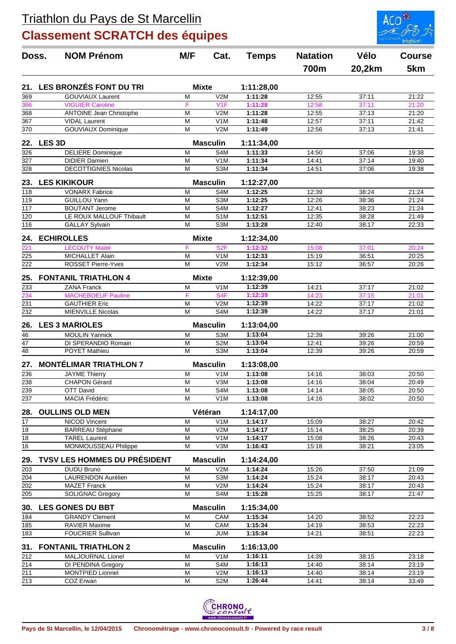

|                                    | <b>NOM Prénom</b><br>Doss.                        | M/F<br>Cat.  | <b>Temps</b>            | <b>Natation</b>       | Vélo           | <b>Course</b>  |                |
|------------------------------------|---------------------------------------------------|--------------|-------------------------|-----------------------|----------------|----------------|----------------|
|                                    |                                                   |              |                         |                       | 700m           | 20,2km         | 5km            |
| 21.                                | LES BRONZÉS FONT DU TRI                           | <b>Mixte</b> |                         | 1:11:28,00            |                |                |                |
| 369                                | <b>GOUVIAUX Laurent</b>                           | M            | V2M                     | 1:11:28               | 12:55          | 37:11          | 21:22          |
| 366                                | <b>VIGUIER Caroline</b>                           | F            | V1F                     | 1:11:28               | 12:58          | 37:11          | 21:20          |
| 368                                | <b>ANTOINE Jean Christophe</b>                    | M            | V2M                     | 1:11:28               | 12:55          | 37:13          | 21:20          |
| 367                                | <b>VIDAL Laurent</b>                              | M            | V <sub>1</sub> M        | 1:11:48               | 12:57          | 37:11          | 21:42          |
| 370                                | <b>GOUVIAUX Dominique</b>                         | M            | V2M                     | 1:11:49               | 12:56          | 37:13          | 21:41          |
| 22.                                | <b>LES 3D</b>                                     |              | <b>Masculin</b>         | 1:11:34,00            |                |                |                |
| 326                                | <b>DELIERE Dominique</b>                          | M            | S4M                     | 1:11:33               | 14:50          | 37:06          | 19:38          |
| $\overline{327}$                   | <b>DIDIER Damien</b>                              | M            | V <sub>1</sub> M        | 1:11:34               | 14:41          | 37:14          | 19:40          |
| 328                                | <b>DECOTTIGNIES Nicolas</b>                       | M            | S3M                     | 1:11:34               | 14:51          | 37:06          | 19:38          |
| 23.                                | <b>LES KIKIKOUR</b>                               |              | <b>Masculin</b>         | 1:12:27,00            |                |                |                |
| 118                                | <b>VONARX Fabrice</b>                             | M            | S4M                     | 1:12:25               | 12:39          | 38:24          | 21:24          |
| 119                                | GUILLOU Yann                                      | M            | S3M                     | 1:12:25               | 12:26          | 38:36          | 21:24          |
| $\overline{117}$                   | <b>BOUTANT Jerome</b>                             | M            | S <sub>4</sub> M        | 1:12:27               | 12:41          | 38:23          | 21:24          |
| $\overline{120}$                   | LE ROUX MALLOUF Thibault                          | M            | S <sub>1</sub> M        | 1:12:51               | 12:35          | 38:28          | 21:49          |
| $\overline{116}$                   | <b>GALLAY Sylvain</b>                             | M            | S3M                     | 1:13:28               | 12:40          | 38:17          | 22:33          |
| 24.                                | <b>ECHIROLLES</b>                                 | <b>Mixte</b> |                         | 1:12:34,00            |                |                |                |
| 221                                | <b>LECOUTY Maïté</b>                              | F            | S <sub>2F</sub>         | 1:12:32               | 15:08          | 37:01          | 20:24          |
| 225                                | <b>MICHALLET Alain</b>                            | M            | V <sub>1</sub> M        | 1:12:33               | 15:19          | 36:51          | 20:25          |
| 222                                | ROSSET Pierre-Yves                                | M            | V2M                     | 1:12:34               | 15:12          | 36:57          | 20:26          |
| 25.                                | <b>FONTANIL TRIATHLON 4</b>                       | <b>Mixte</b> |                         | 1:12:39,00            |                |                |                |
| 233                                | <b>ZANA Franck</b>                                | M            | V <sub>1</sub> M        | 1:12:39               | 14:21          | 37:17          | 21:02          |
| 234                                | <b>MACHEBOEUF Pauline</b>                         | F            | S <sub>4</sub> F        | 1:12:39               | 14:23          | 37:15          | 21:01          |
| 231                                | <b>GAUTHIER Eric</b>                              | M            | V2M                     | 1:12:39               | 14:22          | 37:17          | 21:02          |
| 232                                | <b>MIENVILLE Nicolas</b>                          | M            | S4M                     | 1:12:39               | 14:22          | 37:17          | 21:01          |
| 26.                                | <b>LES 3 MARIOLES</b>                             |              | <b>Masculin</b>         | 1:13:04,00            |                |                |                |
| 46                                 | <b>MOULIN Yannick</b>                             | M            | S3M                     | 1:13:04               | 12:39          | 39:26          | 21:00          |
| 47                                 | DI SPERANDIO Romain                               | M            | S <sub>2</sub> M        | 1:13:04               | 12:41          | 39:26          | 20:59          |
| $\overline{48}$                    | POYET Mathieu                                     | M            | S <sub>3</sub> M        | 1:13:04               | 12:39          | 39:26          | 20:59          |
| 27.                                | <b>MONTÉLIMAR TRIATHLON 7</b>                     |              | <b>Masculin</b>         | 1:13:08,00            |                |                |                |
| 236                                | <b>JAYME Thierry</b>                              | M            | V <sub>1</sub> M        | 1:13:08               | 14:16          | 38:03          | 20:50          |
| 238                                | <b>CHAPON Gérard</b>                              | M            | V3M                     | 1:13:08               | 14:16          | 38:04          | 20:49          |
| 239                                | OTT David                                         | M            | S4M                     | 1:13:08               | 14:14          | 38:05          | 20:50          |
| 237                                | MACIA Frédéric                                    | M            | V <sub>1</sub> M        | 1:13:08               | 14:16          | 38:02          | 20:50          |
| 28.                                | <b>OULLINS OLD MEN</b>                            |              | Vétéran                 | 1:14:17,00            |                |                |                |
| 17                                 | <b>NICOD Vincent</b>                              | M            | V <sub>1</sub> M        | 1:14:17               | 15:09          | 38:27          | 20:42          |
| 19                                 | <b>BARREAU Stéphane</b>                           | M            | V2M                     | 1:14:17               | 15:14          | 38:25          | 20:39          |
| $\overline{18}$<br>$\overline{16}$ | <b>TAREL Laurent</b><br>MONMOUSSEAU Philippe      | M<br>M       | V <sub>1</sub> M<br>V3M | 1:14:17<br>1:16:43    | 15:08<br>15:18 | 38:26<br>38:21 | 20:43<br>23:05 |
|                                    |                                                   |              |                         |                       |                |                |                |
| 29.<br>203                         | TVSV LES HOMMES DU PRÉSIDENT<br><b>DUDU Bruno</b> | M            | <b>Masculin</b><br>V2M  | 1:14:24,00<br>1:14:24 | 15:26          | 37:50          | 21:09          |
| 204                                | LAURENDON Aurélien                                | M            | S3M                     | 1:14:24               | 15:24          | 38:17          | 20:43          |
| 202                                | <b>MAZET Franck</b>                               | M            | V2M                     | 1:14:24               | 15:24          | 38:17          | 20:43          |
| 205                                | <b>SOLIGNAC Gregory</b>                           | M            | S4M                     | 1:15:28               | 15:25          | 38:17          | 21:47          |
| 30.                                | <b>LES GONES DU BBT</b>                           |              | <b>Masculin</b>         | 1:15:34,00            |                |                |                |
| 184                                | <b>GRANDY Clement</b>                             | M            | CAM                     | 1:15:34               | 14:20          | 38:52          | 22:23          |
| 185                                | <b>RAVIER Maxime</b>                              | M            | CAM                     | 1:15:34               | 14:19          | 38:53          | 22:23          |
| 183                                | <b>FOUCRIER Sullivan</b>                          | M            | <b>JUM</b>              | 1:15:34               | 14:21          | 38:51          | 22:23          |
| 31.                                | <b>FONTANIL TRIATHLON 2</b>                       |              | <b>Masculin</b>         | 1:16:13,00            |                |                |                |
| 212                                | MALJOURNAL Lionel                                 | M            | V <sub>1</sub> M        | 1:16:11               | 14:39          | 38:15          | 23:18          |
| 214                                | DI PENDINA Gregory                                | M            | S4M                     | 1:16:13               | 14:40          | 38:14          | 23:19          |
| 211                                | <b>MONTPIED Lionnel</b>                           | M            | V2M                     | 1:16:13               | 14:40          | 38:14          | 23:19          |
| 213                                | COZ Erwan                                         | M            | S <sub>2</sub> M        | 1:26:44               | 14:41          | 38:14          | 33:49          |

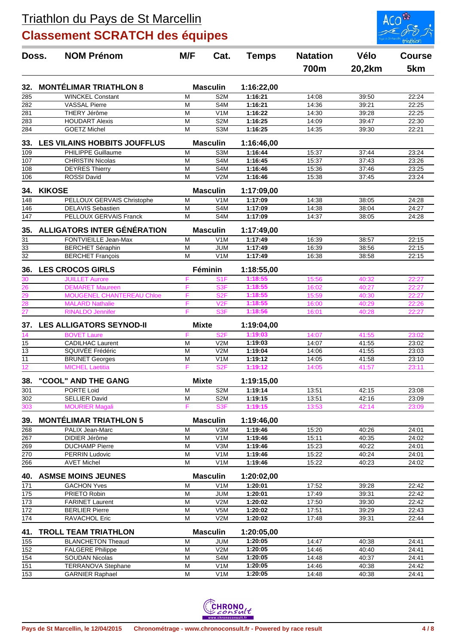

| Doss.                          | <b>NOM Prénom</b>                              | M/F<br>Cat.    | <b>Temps</b>            | <b>Natation</b>    | Vélo           | <b>Course</b>  |                |
|--------------------------------|------------------------------------------------|----------------|-------------------------|--------------------|----------------|----------------|----------------|
|                                |                                                |                |                         |                    | 700m           | 20,2km         | 5km            |
| 32.                            | <b>MONTÉLIMAR TRIATHLON 8</b>                  |                | <b>Masculin</b>         | 1:16:22,00         |                |                |                |
| 285                            | <b>WINCKEL Constant</b>                        | M              | S <sub>2</sub> M        | 1:16:21            | 14:08          | 39:50          | 22:24          |
| 282                            | <b>VASSAL Pierre</b>                           | M              | S <sub>4</sub> M        | 1:16:21            | 14:36          | 39:21          | 22:25          |
| 281                            | THERY Jérôme                                   | M              | V <sub>1</sub> M        | 1:16:22            | 14:30          | 39:28          | 22:25          |
| 283                            | <b>HOUDART Alexis</b>                          | M              | S <sub>2</sub> M        | 1:16:25            | 14:09          | 39:47          | 22:30          |
| 284                            | <b>GOETZ Michel</b>                            | M              | S3M                     | 1:16:25            | 14:35          | 39:30          | 22:21          |
| 33.                            | <b>LES VILAINS HOBBITS JOUFFLUS</b>            |                | <b>Masculin</b>         | 1:16:46,00         |                |                |                |
| 109                            | <b>PHILIPPE Guillaume</b>                      | M              | S <sub>3</sub> M        | 1:16:44            | 15:37          | 37:44          | 23:24          |
| 107                            | <b>CHRISTIN Nicolas</b>                        | M              | S <sub>4</sub> M        | 1:16:45            | 15:37          | 37:43          | 23:26          |
| 108                            | <b>DEYRES Thierry</b>                          | M              | S <sub>4</sub> M        | 1:16:46            | 15:36          | 37:46          | 23:25          |
| 106                            | <b>ROSSI David</b>                             | M              | V2M                     | 1:16:46            | 15:38          | 37:45          | 23:24          |
| 34.                            | <b>KIKOSE</b>                                  |                | <b>Masculin</b>         | 1:17:09,00         |                |                |                |
| 148                            | PELLOUX GERVAIS Christophe                     | M              | V1M                     | 1:17:09            | 14:38          | 38:05          | 24:28          |
| 146                            | <b>DELAVIS Sebastien</b>                       | M              | S <sub>4</sub> M        | 1:17:09            | 14:38          | 38:04          | 24:27          |
| 147                            | <b>PELLOUX GERVAIS Franck</b>                  | M              | S <sub>4</sub> M        | 1:17:09            | 14:37          | 38:05          | 24:28          |
| 35.                            | ALLIGATORS INTER GÉNÉRATION                    |                | <b>Masculin</b>         | 1:17:49,00         |                |                |                |
| $\overline{31}$                | FONTVIEILLE Jean-Max                           | M              | V <sub>1</sub> M        | 1:17:49            | 16:39          | 38:57          | 22:15          |
| $\overline{33}$                | <b>BERCHET Séraphin</b>                        | M              | <b>JUM</b>              | 1:17:49            | 16:39          | 38:56          | 22:15          |
| $\overline{32}$                | <b>BERCHET François</b>                        | M              | V <sub>1</sub> M        | 1:17:49            | 16:38          | 38:58          | 22:15          |
| 36.                            | <b>LES CROCOS GIRLS</b>                        |                | Féminin                 | 1:18:55,00         |                |                |                |
| 30                             | <b>JUILLET Aurore</b>                          | F              | S <sub>1</sub> F        | 1:18:55            | 15:56          | 40:32          | 22:27          |
| 26                             | <b>DEMARET Maureen</b>                         | F              | S3F                     | 1:18:55            | 16:02          | 40:27          | 22:27          |
| $\frac{1}{29}$ $\frac{29}{28}$ | MOUGENEL CHANTEREAU Chloe                      | F              | S <sub>2</sub> F        | 1:18:55            | 15:59          | 40:30          | 22:27          |
|                                | <b>MALARD Nathalie</b>                         | F              | V2F                     | 1:18:55            | 16:00          | 40:29          | 22:26          |
| $\overline{27}$                | <b>RINALDO Jennifer</b>                        | F              | S <sub>3F</sub>         | 1:18:56            | 16:01          | 40:28          | 22:27          |
| 37.                            | <b>LES ALLIGATORS SEYNOD-II</b>                | <b>Mixte</b>   |                         | 1:19:04,00         |                |                |                |
| 14                             | <b>BOVET Laure</b>                             | F              | S <sub>2F</sub>         | 1:19:03            | 14:07          | 41:55          | 23:02          |
| 15                             | <b>CADILHAC Laurent</b>                        | M              | V2M                     | 1:19:03            | 14:07          | 41:55          | 23:02          |
| $\overline{13}$                | SQUIVÉE Frédéric                               | M              | V <sub>2</sub> M        | 1:19:04            | 14:06          | 41:55          | 23:03          |
| $\overline{11}$                | <b>BRUNET Georges</b>                          | M              | V <sub>1</sub> M        | 1:19:12            | 14:05          | 41:58          | 23:10          |
| 12                             | <b>MICHEL Laetitia</b>                         | F              | S <sub>2F</sub>         | 1:19:12            | 14:05          | 41:57          | 23:11          |
| 38.                            | "COOL" AND THE GANG                            | <b>Mixte</b>   |                         | 1:19:15,00         |                |                |                |
| 301                            | PORTE Loid                                     | M              | S2M                     | 1:19:14            | 13:51          | 42:15          | 23:08          |
| 302                            | <b>SELLIER David</b>                           | M              | S <sub>2</sub> M        | 1:19:15            | 13:51          | 42:16          | 23:09          |
| 303                            | <b>MOURIER Magali</b>                          | F              | S <sub>3F</sub>         | 1:19:15            | 13:53          | 42:14          | 23:09          |
| 39.                            | <b>MONTÉLIMAR TRIATHLON 5</b>                  |                | <b>Masculin</b>         | 1:19:46,00         |                |                |                |
| 268                            | PALIX Jean-Marc                                | M              | V3M                     | 1:19:46            | 15:20          | 40:26          | 24:01          |
| 267<br>269                     | DIDIER Jérôme                                  | M<br>M         | V <sub>1</sub> M<br>V3M | 1:19:46            | 15:11<br>15:23 | 40:35<br>40:22 | 24:02          |
| 270                            | <b>DUCHAMP Pierre</b><br><b>PERRIN Ludovic</b> | M              | V <sub>1</sub> M        | 1:19:46<br>1:19:46 | 15:22          | 40:24          | 24:01<br>24:01 |
| 266                            | <b>AVET Michel</b>                             | M              | V <sub>1</sub> M        | 1:19:46            | 15:22          | 40:23          | 24:02          |
| 40.                            | <b>ASMSE MOINS JEUNES</b>                      |                | <b>Masculin</b>         | 1:20:02,00         |                |                |                |
| 171                            | <b>GACHON Yves</b>                             | M              | V <sub>1</sub> M        | 1:20:01            | 17:52          | 39:28          | 22:42          |
| 175                            | PRIETO Robin                                   | M              | JUM                     | 1:20:01            | 17:49          | 39:31          | 22:42          |
| $\overline{173}$               | <b>FARINET Laurent</b>                         | M              | V <sub>2</sub> M        | 1:20:02            | 17:50          | 39:30          | 22:42          |
| $\frac{1}{172}$                | <b>BERLIER Pierre</b>                          | M              | V5M                     | 1:20:02            | 17:51          | 39:29          | 22:43          |
| 174                            | RAVACHOL Eric                                  | M              | V <sub>2</sub> M        | 1:20:02            | 17:48          | 39:31          | 22:44          |
| 41.                            | <b>TROLL TEAM TRIATHLON</b>                    |                | <b>Masculin</b>         | 1:20:05,00         |                |                |                |
| 155                            | <b>BLANCHETON Theaud</b>                       | M              | <b>JUM</b>              | 1:20:05            | 14:47          | 40:38          | 24:41          |
| 152                            | <b>FALGERE Philippe</b>                        | M              | V2M                     | 1:20:05            | 14:46          | 40:40          | 24:41          |
| 154                            | <b>SOUDAN Nicolas</b>                          | M              | S4M                     | 1:20:05            | 14:48          | 40:37          | 24:41          |
| 151                            | TERRANOVA Stephane                             | M              | V <sub>1</sub> M        | 1:20:05            | 14:46          | 40:38          | 24:42          |
| 153                            | <b>GARNIER Raphael</b>                         | $\overline{M}$ | V <sub>1</sub> M        | 1:20:05            | 14:48          | 40:38          | 24:41          |
|                                |                                                |                |                         |                    |                |                |                |

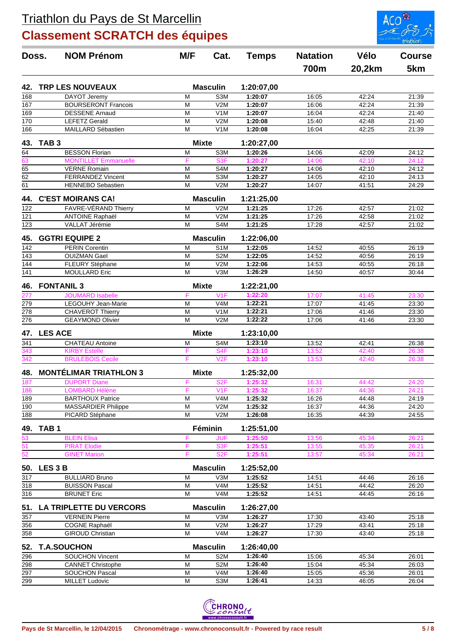

| Doss.            | <b>NOM Prénom</b>                                       | M/F          | Cat.                                 | <b>Temps</b>          | <b>Natation</b> | Vélo           | <b>Course</b>  |
|------------------|---------------------------------------------------------|--------------|--------------------------------------|-----------------------|-----------------|----------------|----------------|
|                  |                                                         |              |                                      |                       | 700m            | 20,2km         | 5km            |
| 42.              | <b>TRP LES NOUVEAUX</b>                                 |              | <b>Masculin</b>                      | 1:20:07,00            |                 |                |                |
| 168              | DAYOT Jeremy                                            | M            | S3M                                  | 1:20:07               | 16:05           | 42:24          | 21:39          |
| 167              | <b>BOURSERONT Francois</b>                              | M            | V2M                                  | 1:20:07               | 16:06           | 42:24          | 21:39          |
| 169              | <b>DESSENE Arnaud</b>                                   | M            | V <sub>1</sub> M                     | 1:20:07               | 16:04           | 42:24          | 21:40          |
| $\overline{170}$ | <b>LEFETZ Gerald</b>                                    | M            | V2M                                  | 1:20:08               | 15:40           | 42:48          | 21:40          |
| 166              | MAILLARD Sébastien                                      | M            | V <sub>1</sub> M                     | 1:20:08               | 16:04           | 42:25          | 21:39          |
| 43.              | TAB <sub>3</sub>                                        | <b>Mixte</b> |                                      | 1:20:27,00            |                 |                |                |
| 64               | <b>BESSON Florian</b>                                   | M            | S <sub>3</sub> M                     | 1:20:26               | 14:06           | 42:09          | 24:12          |
| 63               | <b>MONTILLET</b> Emmanuelle                             | F            | S <sub>3F</sub>                      | 1:20:27               | 14:06           | 42:10          | 24:12          |
| 65               | <b>VERNE</b> Romain                                     | M            | S4M                                  | 1:20:27               | 14:06           | 42:10          | 24:12          |
| $\overline{62}$  | <b>FERRANDEZ Vincent</b>                                | M            | S <sub>3</sub> M                     | 1:20:27               | 14:05           | 42:10          | 24:13          |
| 61               | <b>HENNEBO Sebastien</b>                                | M            | V2M                                  | 1:20:27               | 14:07           | 41:51          | 24:29          |
| 44.              | <b>C'EST MOIRANS CA!</b>                                |              | <b>Masculin</b>                      | 1:21:25,00            |                 |                |                |
| 122              | FAVRE-VÉRAND Thierry                                    | M            | V2M                                  | 1:21:25               | 17:26           | 42:57          | 21:02          |
| 121              | <b>ANTOINE Raphaël</b>                                  | M            | V2M                                  | 1:21:25               | 17:26           | 42:58          | 21:02          |
| 123              | VALLAT Jérémie                                          | M            | S4M                                  | 1:21:25               | 17:28           | 42:57          | 21:02          |
| 45.              | <b>GGTRI EQUIPE 2</b>                                   |              | <b>Masculin</b>                      | 1:22:06,00            |                 |                |                |
| 142              | <b>PERIN Corentin</b>                                   | M            | S <sub>1</sub> M                     | 1:22:05               | 14:52           | 40:55          | 26:19          |
| 143              | <b>OUIZMAN Gael</b>                                     | M            | S <sub>2</sub> M                     | 1:22:05               | 14:52           | 40:56          | 26:19          |
| 144              | FLEURY Stéphane                                         | M            | V2M                                  | 1:22:06               | 14:53           | 40:55          | 26:18          |
| 141              | <b>MOULLARD Eric</b>                                    | M            | V3M                                  | 1:26:29               | 14:50           | 40:57          | 30:44          |
| 46.              | <b>FONTANIL 3</b>                                       | <b>Mixte</b> |                                      | 1:22:21,00            |                 |                |                |
|                  | <b>JOUMARD Isabelle</b>                                 | F            | V1F                                  | 1:22:20               | 17:07           | 41:45          | 23:30          |
| 279              | LEGOUHY Jean-Marie                                      | M            | V <sub>4</sub> M                     | 1:22:21<br>1:22:21    | 17:07           | 41:45          | 23:30          |
| 278<br>276       | <b>CHAVEROT Thierry</b>                                 | M<br>M       | V <sub>1</sub> M<br>V2M              |                       | 17:06           | 41:46          | 23:30          |
|                  | <b>GEAYMOND Olivier</b>                                 |              |                                      | 1:22:22               | 17:06           | 41:46          | 23:30          |
| 47.              | <b>LES ACE</b>                                          | <b>Mixte</b> |                                      | 1:23:10,00            |                 |                |                |
| 341              | <b>CHATEAU Antoine</b>                                  | M            | S4M                                  | 1:23:10               | 13:52           | 42:41          | 26:38          |
| 343              | <b>KIRBY Estelle</b>                                    | F            | S <sub>4F</sub>                      | 1:23:10               | 13:52           | 42:40          | 26:38          |
| 342              | <b>BRULEBOIS Cecile</b>                                 | F            | V2F                                  | 1:23:10               | 13:53           | 42:40          | 26:38          |
| 48.              | <b>MONTÉLIMAR TRIATHLON 3</b>                           | <b>Mixte</b> |                                      | 1:25:32,00            |                 |                |                |
| 187              | <b>DUPORT Diane</b>                                     | F            | S <sub>2F</sub>                      | 1:25:32               | 16:31           | 44:42          | 24:20          |
| 186              | <b>LOMBARD Hélène</b>                                   |              | V <sub>1</sub> F                     | 1:25:32               | 16:37           | 44:36          | 24:21          |
| 189              | <b>BARTHOUX Patrice</b>                                 | M            | V <sub>4</sub> M                     | 1:25:32               | 16:26           | 44:48          | 24:19          |
| 190              | <b>MASSARDIER Philippe</b>                              | M            | V2M                                  | 1:25:32               | 16:37           | 44:36          | 24:20          |
| 188              | PICARD Stéphane                                         | м            | V2M                                  | 1:26:08               | 16:35           | 44:39          | 24:55          |
| 49.              | TAB <sub>1</sub>                                        |              | Féminin                              | 1:25:51,00            |                 |                |                |
| 53<br>51         | <b>BLEIN Elisa</b>                                      | F            | <b>JUF</b>                           | 1:25:50               | 13:56           | 45:34          | 26:21          |
| 52               | <b>PIRAT Elodie</b><br><b>GINET Marion</b>              | F<br>F       | S <sub>3F</sub><br>S <sub>2F</sub>   | 1:25:51<br>1:25:51    | 13:55<br>13:57  | 45:35<br>45:34 | 26:21<br>26:21 |
|                  |                                                         |              |                                      |                       |                 |                |                |
| 50.              | LES <sub>3</sub> B                                      |              | <b>Masculin</b>                      | 1:25:52,00            |                 |                |                |
| 317              | <b>BULLIARD Bruno</b>                                   | M            | V3M                                  | 1:25:52               | 14:51           | 44:46          | 26:16          |
| 318<br>316       | <b>BUISSON Pascal</b><br><b>BRUNET Eric</b>             | M<br>M       | V <sub>4</sub> M<br>V <sub>4</sub> M | 1:25:52<br>1:25:52    | 14:51<br>14:51  | 44:42<br>44:45 | 26:20<br>26:16 |
|                  |                                                         |              |                                      |                       |                 |                |                |
| 51.<br>357       | <b>LA TRIPLETTE DU VERCORS</b><br><b>VERNEIN Pierre</b> | M            | <b>Masculin</b><br>V3M               | 1:26:27,00<br>1:26:27 | 17:30           | 43:40          | 25:18          |
| 356              | <b>COGNE Raphaël</b>                                    | M            | V2M                                  | 1:26:27               | 17:29           | 43:41          | 25:18          |
| 358              | <b>GIROUD Christian</b>                                 | M            | V4M                                  | 1:26:27               | 17:30           | 43:40          | 25:18          |
| 52.              | <b>T.A.SOUCHON</b>                                      |              | <b>Masculin</b>                      | 1:26:40,00            |                 |                |                |
| 296              | <b>SOUCHON Vincent</b>                                  | M            | S <sub>2</sub> M                     | 1:26:40               | 15:06           | 45:34          | 26:01          |
| 298              | <b>CANNET Christophe</b>                                | M            | S <sub>2</sub> M                     | 1:26:40               | 15:04           | 45:34          | 26:03          |
| 297              | <b>SOUCHON Pascal</b>                                   | M            | V <sub>4</sub> M                     | 1:26:40               | 15:05           | 45:36          | 26:01          |
| 299              | <b>MILLET Ludovic</b>                                   | M            | S3M                                  | 1:26:41               | 14:33           | 46:05          | 26:04          |
|                  |                                                         |              |                                      |                       |                 |                |                |

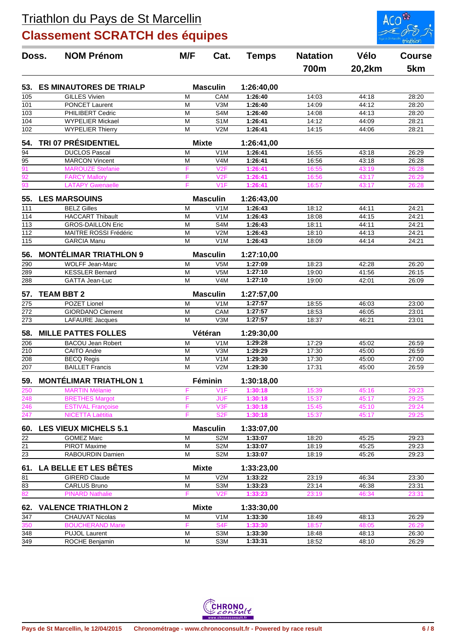

| Doss.            | <b>NOM Prénom</b>              | M/F<br>Cat.    | <b>Temps</b>     | <b>Natation</b> | Vélo  | <b>Course</b> |       |
|------------------|--------------------------------|----------------|------------------|-----------------|-------|---------------|-------|
|                  |                                |                |                  |                 | 700m  | 20,2km        | 5km   |
| 53.              | <b>ES MINAUTORES DE TRIALP</b> |                | <b>Masculin</b>  | 1:26:40,00      |       |               |       |
| 105              | <b>GILLES Vivien</b>           | M              | CAM              | 1:26:40         | 14:03 | 44:18         | 28:20 |
| 101              | <b>PONCET Laurent</b>          | M              | V3M              | 1:26:40         | 14:09 | 44:12         | 28:20 |
| 103              | PHILIBERT Cedric               | M              | S4M              | 1:26:40         | 14:08 | 44:13         | 28:20 |
| 104              | <b>WYPELIER Mickael</b>        | M              | S <sub>1</sub> M | 1:26:41         | 14:12 | 44:09         | 28:21 |
| $\overline{102}$ | <b>WYPELIER Thierry</b>        | M              | V2M              | 1:26:41         | 14:15 | 44:06         | 28:21 |
| 54.              | <b>TRI 07 PRÉSIDENTIEL</b>     | <b>Mixte</b>   |                  | 1:26:41,00      |       |               |       |
| 94               | <b>DUCLOS Pascal</b>           | M              | V <sub>1</sub> M | 1:26:41         | 16:55 | 43:18         | 26:29 |
| 95               | <b>MARCON Vincent</b>          | M              | V <sub>4</sub> M | 1:26:41         | 16:56 | 43:18         | 26:28 |
| $\overline{91}$  | <b>MAROUZE Stefanie</b>        | F              | V2F              | 1:26:41         | 16:55 | 43:19         | 26:28 |
| $\overline{92}$  | <b>FARCY Mallory</b>           | F              | V2F              | 1:26:41         | 16:56 | 43:17         | 26:29 |
| 93               | <b>LATAPY Gwenaelle</b>        | F              | V <sub>1F</sub>  | 1:26:41         | 16:57 | 43:17         | 26:28 |
| 55.              | <b>LES MARSOUINS</b>           |                | <b>Masculin</b>  | 1:26:43,00      |       |               |       |
| 111              | <b>BELZ Gilles</b>             | M              | V1M              | 1:26:43         | 18:12 | 44:11         | 24:21 |
| 114              | <b>HACCART Thibault</b>        | M              | V <sub>1</sub> M | 1:26:43         | 18:08 | 44:15         | 24:21 |
| $\overline{113}$ | <b>GROS-DAILLON Eric</b>       | M              | S4M              | 1:26:43         | 18:11 | 44:11         | 24:21 |
| 112              | MAITRE ROSSI Frédéric          | M              | V2M              | 1:26:43         | 18:10 | 44:13         | 24:21 |
| $\overline{115}$ | <b>GARCIA Manu</b>             | M              | V <sub>1</sub> M | 1:26:43         | 18:09 | 44:14         | 24:21 |
| 56.              | <b>MONTÉLIMAR TRIATHLON 9</b>  |                | <b>Masculin</b>  | 1:27:10,00      |       |               |       |
| 290              | WOLFF Jean-Marc                | M              | V5M              | 1:27:09         | 18:23 | 42:28         | 26:20 |
| 289              | <b>KESSLER Bernard</b>         | M              | V <sub>5</sub> M | 1:27:10         | 19:00 | 41:56         | 26:15 |
| 288              | GATTA Jean-Luc                 | M              | V <sub>4</sub> M | 1:27:10         | 19:00 | 42:01         | 26:09 |
| 57.              | <b>TEAM BBT 2</b>              |                | <b>Masculin</b>  | 1:27:57,00      |       |               |       |
| 275              | POZET Lionel                   | M              | V1M              | 1:27:57         | 18:55 | 46:03         | 23:00 |
| 272              | <b>GIORDANO Clement</b>        | M              | CAM              | 1:27:57         | 18:53 | 46:05         | 23:01 |
| 273              | <b>LAFAURE</b> Jacques         | M              | V3M              | 1:27:57         | 18:37 | 46:21         | 23:01 |
| 58.              | <b>MILLE PATTES FOLLES</b>     |                | Vétéran          | 1:29:30,00      |       |               |       |
| 206              | <b>BACOU Jean Robert</b>       | M              | V <sub>1</sub> M | 1:29:28         | 17:29 | 45:02         | 26:59 |
| 210              | <b>CAITO Andre</b>             | M              | V3M              | 1:29:29         | 17:30 | 45:00         | 26:59 |
| 208              | <b>BECQ Regis</b>              | M              | V <sub>1</sub> M | 1:29:30         | 17:30 | 45:00         | 27:00 |
| 207              | <b>BAILLET Francis</b>         | M              | V2M              | 1:29:30         | 17:31 | 45:00         | 26:59 |
| 59.              | <b>MONTÉLIMAR TRIATHLON 1</b>  |                | Féminin          | 1:30:18,00      |       |               |       |
| 250              | <b>MARTIN Mélanie</b>          |                | V1F              | 1:30:18         | 15:39 | 45:16         | 29:23 |
| 248              | <b>BRETHES Margot</b>          | F              | <b>JUF</b>       | 1:30:18         | 15:37 | 45:17         | 29:25 |
| $\frac{246}{1}$  | <b>ESTIVAL Françoise</b>       | F              | V3F              | 1:30:18         | 15:45 | 45:10         | 29:24 |
| 247              | NICETTA Laëtitia               | F              | S <sub>2F</sub>  | 1:30:18         | 15:37 | 45:17         | 29:25 |
| 60.              | <b>LES VIEUX MICHELS 5.1</b>   |                | <b>Masculin</b>  | 1:33:07,00      |       |               |       |
| 22               | <b>GOMEZ Marc</b>              | M              | S <sub>2</sub> M | 1:33:07         | 18:20 | 45:25         | 29:23 |
| 21               | <b>PIROT Maxime</b>            | M              | S <sub>2</sub> M | 1:33:07         | 18:19 | 45:25         | 29:23 |
| 23               | RABOURDIN Damien               | м              | S <sub>2</sub> M | 1:33:07         | 18:19 | 45:26         | 29:23 |
| 61.              | LA BELLE ET LES BÊTES          | <b>Mixte</b>   |                  | 1:33:23,00      |       |               |       |
| 81               | <b>GIRERD Claude</b>           | M              | V2M              | 1:33:22         | 23:19 | 46:34         | 23:30 |
| 83               | <b>CARLUS Bruno</b>            | M              | S3M              | 1:33:23         | 23:14 | 46:38         | 23:31 |
| $\overline{82}$  | <b>PINARD Nathalie</b>         | F              | V2F              | 1:33:23         | 23:19 | 46:34         | 23:31 |
| 62.              | <b>VALENCE TRIATHLON 2</b>     | <b>Mixte</b>   |                  | 1:33:30,00      |       |               |       |
| 347              | CHAUVAT Nicolas                | M              | V1M              | 1:33:30         | 18:49 | 48:13         | 26:29 |
| 350              | <b>BOUCHERAND Marie</b>        | F              | S <sub>4F</sub>  | 1:33:30         | 18:57 | 48:05         | 26:29 |
| 348              | <b>PUJOL Laurent</b>           | $\overline{M}$ | S3M              | 1:33:30         | 18:48 | 48:13         | 26:30 |
| 349              | ROCHE Benjamin                 | M              | S3M              | 1:33:31         | 18:52 | 48:10         | 26:29 |

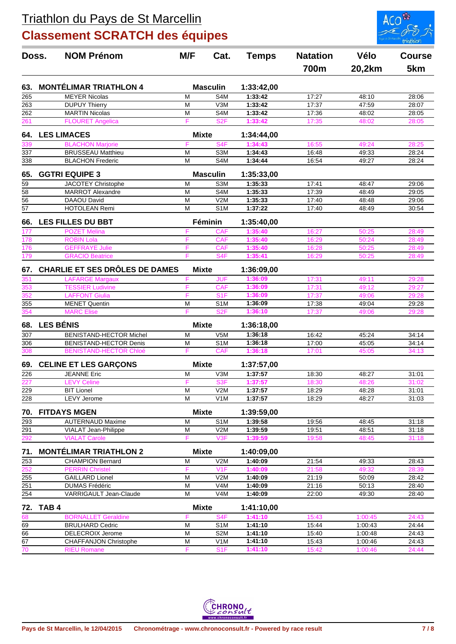

| Doss.                   | <b>NOM Prénom</b>                                              | M/F                     | Cat.                           |                       | <b>Natation</b> | Vélo           | <b>Course</b>  |
|-------------------------|----------------------------------------------------------------|-------------------------|--------------------------------|-----------------------|-----------------|----------------|----------------|
|                         |                                                                |                         |                                |                       | 700m            | 20,2km         | 5km            |
| 63.                     | <b>MONTÉLIMAR TRIATHLON 4</b>                                  |                         | <b>Masculin</b>                | 1:33:42,00            |                 |                |                |
| 265                     | <b>MEYER Nicolas</b>                                           | M                       | S <sub>4</sub> M               | 1:33:42               | 17:27           | 48:10          | 28:06          |
| 263                     | <b>DUPUY Thierry</b>                                           | M                       | V3M                            | 1:33:42               | 17:37           | 47:59          | 28:07          |
| 262                     | <b>MARTIN Nicolas</b>                                          | M                       | S <sub>4</sub> M               | 1:33:42               | 17:36           | 48:02          | 28:05          |
| 261                     | <b>FLOURET Angelica</b>                                        | F                       | S <sub>2F</sub>                | 1:33:42               | 17:35           | 48:02          | 28:05          |
| 64.                     | <b>LES LIMACES</b>                                             | <b>Mixte</b>            |                                | 1:34:44,00            |                 |                |                |
| 339                     | <b>BLACHON Marjorie</b>                                        | F                       | S <sub>4F</sub>                | 1:34:43               | 16:55           | 49:24          | 28:25          |
| 337                     | <b>BRUSSEAU Matthieu</b>                                       | M                       | S <sub>3</sub> M               | 1:34:43               | 16:48           | 49:33          | 28:24          |
| 338                     | <b>BLACHON Frederic</b>                                        | M                       | S <sub>4</sub> M               | 1:34:44               | 16:54           | 49:27          | 28:24          |
| 65.                     | <b>GGTRI EQUIPE 3</b>                                          |                         | <b>Masculin</b>                | 1:35:33,00            |                 |                |                |
| $\overline{59}$         | JACOTEY Christophe                                             | M                       | S3M                            | 1:35:33               | 17:41           | 48:47          | 29:06          |
| $\overline{58}$         | <b>MARROT Alexandre</b>                                        | M                       | S <sub>4</sub> M               | 1:35:33               | 17:39           | 48:49          | 29:05          |
| $\overline{56}$         | <b>DAAOU David</b>                                             | M                       | V2M                            | 1:35:33               | 17:40           | 48:48          | 29:06          |
| $\overline{57}$         | <b>HOTOLEAN Remi</b>                                           | M                       | S <sub>1</sub> M               | 1:37:22               | 17:40           | 48:49          | 30:54          |
| 66.                     | <b>LES FILLES DU BBT</b>                                       |                         | Féminin                        | 1:35:40,00            |                 |                |                |
| 177                     | <b>POZET Melina</b>                                            | F                       | CAF                            | 1:35:40               | 16:27           | 50:25          | 28:49          |
| 178                     | <b>ROBIN Lola</b>                                              | F                       | <b>CAF</b>                     | 1:35:40               | 16:29           | 50:24          | 28:49          |
| 176                     | <b>GEFFRAYE Julie</b>                                          | F                       | <b>CAF</b>                     | 1:35:40               | 16:28           | 50:25          | 28:49          |
| 179                     | <b>GRACIO Beatrice</b>                                         | F                       | S <sub>4F</sub>                | 1:35:41               | 16:29           | 50:25          | 28:49          |
| 67.                     | CHARLIE ET SES DRÔLES DE DAMES                                 | <b>Mixte</b>            |                                | 1:36:09,00            |                 |                |                |
| 351                     | <b>LAFARGE Margaux</b>                                         | F                       | <b>JUF</b>                     | 1:36:09               | 17:31           | 49:11          | 29:28          |
| 353                     | <b>TESSIER Ludivine</b>                                        | F                       | <b>CAF</b>                     | 1:36:09               | 17:31           | 49:12          | 29:27          |
| 352                     | <b>LAFFONT Giulia</b>                                          | F                       | S <sub>1</sub> F               | 1:36:09               | 17:37           | 49:06          | 29:28          |
| 355                     | <b>MENET Quentin</b>                                           | M                       | S <sub>1</sub> M               | 1:36:09               | 17:38           | 49:04          | 29:28          |
| 354                     | <b>MARC Elise</b>                                              | F                       | S <sub>2F</sub>                | 1:36:10               | 17:37           | 49:06          | 29:28          |
| 68.                     | <b>LES BÉNIS</b>                                               | <b>Mixte</b>            |                                | 1:36:18,00            |                 |                |                |
| $\overline{307}$        | <b>BENISTAND-HECTOR Michel</b>                                 | $\overline{M}$          | V5M                            | 1:36:18               | 16:42           | 45:24          | 34:14          |
| 306<br>308              | <b>BENISTAND-HECTOR Denis</b><br><b>BENISTAND-HECTOR Chloé</b> | M<br>F                  | S <sub>1</sub> M<br><b>CAF</b> | 1:36:18<br>1:36:18    | 17:00<br>17:01  | 45:05<br>45:05 | 34:14<br>34:13 |
|                         |                                                                |                         |                                |                       |                 |                |                |
| 69.                     | <b>CELINE ET LES GARÇONS</b><br><b>JEANNE Eric</b>             | <b>Mixte</b><br>M       |                                | 1:37:57,00<br>1:37:57 |                 | 48:27          |                |
| 226                     | <b>LEVY Celine</b>                                             | F                       | V3M<br>S <sub>3F</sub>         | 1:37:57               | 18:30<br>18:30  |                | 31:01<br>31:02 |
| 227<br>$\overline{229}$ | <b>BIT Lionel</b>                                              | $\overline{\mathsf{M}}$ | V2M                            | 1:37:57               | 18:29           | 48:26<br>48:28 | 31:01          |
| 228                     | <b>LEVY</b> Jerome                                             | M                       | V <sub>1</sub> M               | 1:37:57               | 18:29           | 48:27          | 31:03          |
| 70.                     | <b>FITDAYS MGEN</b>                                            | <b>Mixte</b>            |                                | 1:39:59,00            |                 |                |                |
| 293                     | <b>AUTERNAUD Maxime</b>                                        | M                       | S1M                            | 1:39:58               | 19:56           | 48:45          | 31:18          |
| 291                     | VIALAT Jean-Philippe                                           | M                       | V <sub>2</sub> M               | 1:39:59               | 19:51           | 48:51          | 31:18          |
| 292                     | <b>VIALAT Carole</b>                                           | F                       | V3F                            | 1:39:59               | 19:58           | 48:45          | 31:18          |
| 71.                     | <b>MONTÉLIMAR TRIATHLON 2</b>                                  | <b>Mixte</b>            |                                | 1:40:09,00            |                 |                |                |
| 253                     | <b>CHAMPION Bernard</b>                                        | M                       | V2M                            | 1:40:09               | 21:54           | 49:33          | 28:43          |
| 252                     | <b>PERRIN Christel</b>                                         | F                       | V1F                            | 1:40:09               | 21:58           | 49:32          | 28:39          |
| 255                     | <b>GAILLARD Lionel</b>                                         | M                       | V2M                            | 1:40:09               | 21:19           | 50:09          | 28:42          |
| 251                     | <b>DUMAS Frédéric</b>                                          | M                       | V4M                            | 1:40:09               | 21:16           | 50:13          | 28:40          |
| 254                     | VARRIGAULT Jean-Claude                                         | M                       | V <sub>4</sub> M               | 1:40:09               | 22:00           | 49:30          | 28:40          |
|                         | 72. TAB 4                                                      | <b>Mixte</b>            |                                | 1:41:10,00            |                 |                |                |
| 68                      | <b>BORNALLET Geraldine</b>                                     | F                       | S <sub>4F</sub>                | 1:41:10               | 15:43           | 1:00:45        | 24:43          |
| 69                      | <b>BRULHARD Cedric</b>                                         | M                       | S <sub>1</sub> M               | 1:41:10               | 15:44           | 1:00:43        | 24:44          |
| 66                      | DELECROIX Jerome                                               | $\overline{M}$          | S <sub>2</sub> M               | 1:41:10               | 15:40           | 1:00:48        | 24:43          |
| $\overline{67}$         | <b>CHAFFANJON Christophe</b>                                   | M                       | V1M                            | 1:41:10               | 15:43           | 1:00:46        | 24:43          |
| $\overline{70}$         | <b>RIEU Romane</b>                                             | F                       | S1F                            | 1:41:10               | 15:42           | 1:00:46        | 24:44          |